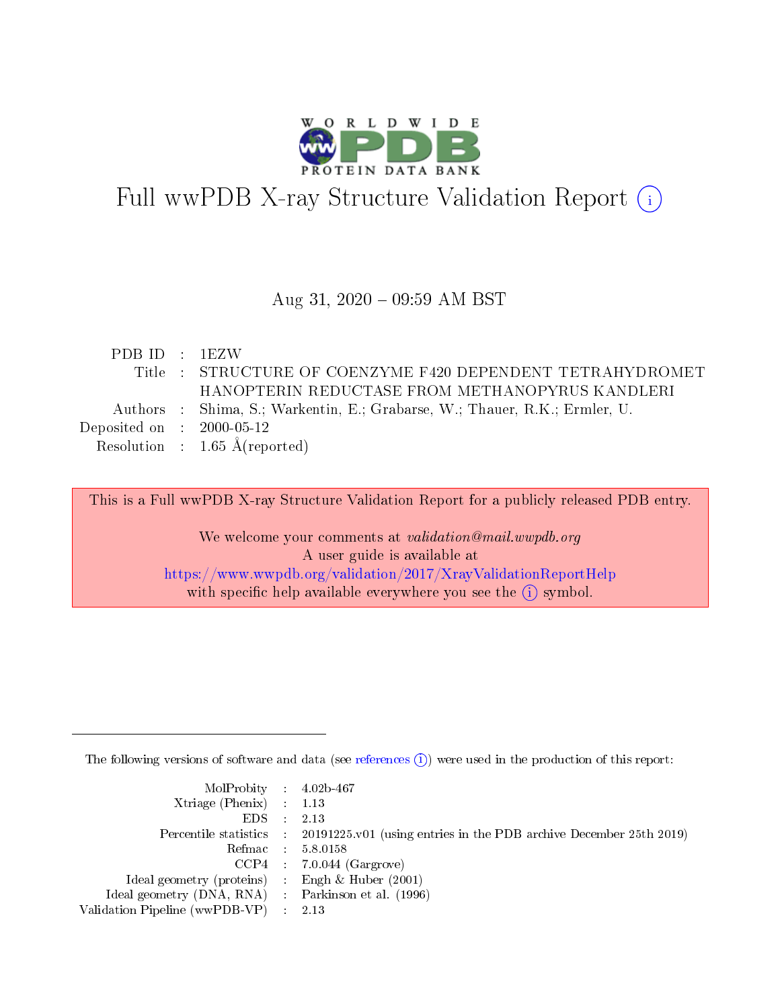

# Full wwPDB X-ray Structure Validation Report (i)

#### Aug 31,  $2020 - 09:59$  AM BST

| PDBID : 1EZW                         |                                                                            |
|--------------------------------------|----------------------------------------------------------------------------|
|                                      | Title : STRUCTURE OF COENZYME F420 DEPENDENT TETRAHYDROMET                 |
|                                      | HANOPTERIN REDUCTASE FROM METHANOPYRUS KANDLERI                            |
|                                      | Authors : Shima, S.; Warkentin, E.; Grabarse, W.; Thauer, R.K.; Ermler, U. |
| Deposited on $\therefore$ 2000-05-12 |                                                                            |
|                                      | Resolution : $1.65 \text{ Å}$ (reported)                                   |
|                                      |                                                                            |

This is a Full wwPDB X-ray Structure Validation Report for a publicly released PDB entry.

We welcome your comments at validation@mail.wwpdb.org A user guide is available at <https://www.wwpdb.org/validation/2017/XrayValidationReportHelp> with specific help available everywhere you see the  $(i)$  symbol.

The following versions of software and data (see [references](https://www.wwpdb.org/validation/2017/XrayValidationReportHelp#references)  $(i)$ ) were used in the production of this report:

| $MolProbability$ 4.02b-467                          |                                                                                            |
|-----------------------------------------------------|--------------------------------------------------------------------------------------------|
| Xtriage (Phenix) $: 1.13$                           |                                                                                            |
| EDS :                                               | 2.13                                                                                       |
|                                                     | Percentile statistics : 20191225.v01 (using entries in the PDB archive December 25th 2019) |
|                                                     | Refmac : 5.8.0158                                                                          |
|                                                     | $CCP4$ : 7.0.044 (Gargrove)                                                                |
| Ideal geometry (proteins) : Engh $\&$ Huber (2001)  |                                                                                            |
| Ideal geometry (DNA, RNA) : Parkinson et al. (1996) |                                                                                            |
| Validation Pipeline (wwPDB-VP)                      | 2.13                                                                                       |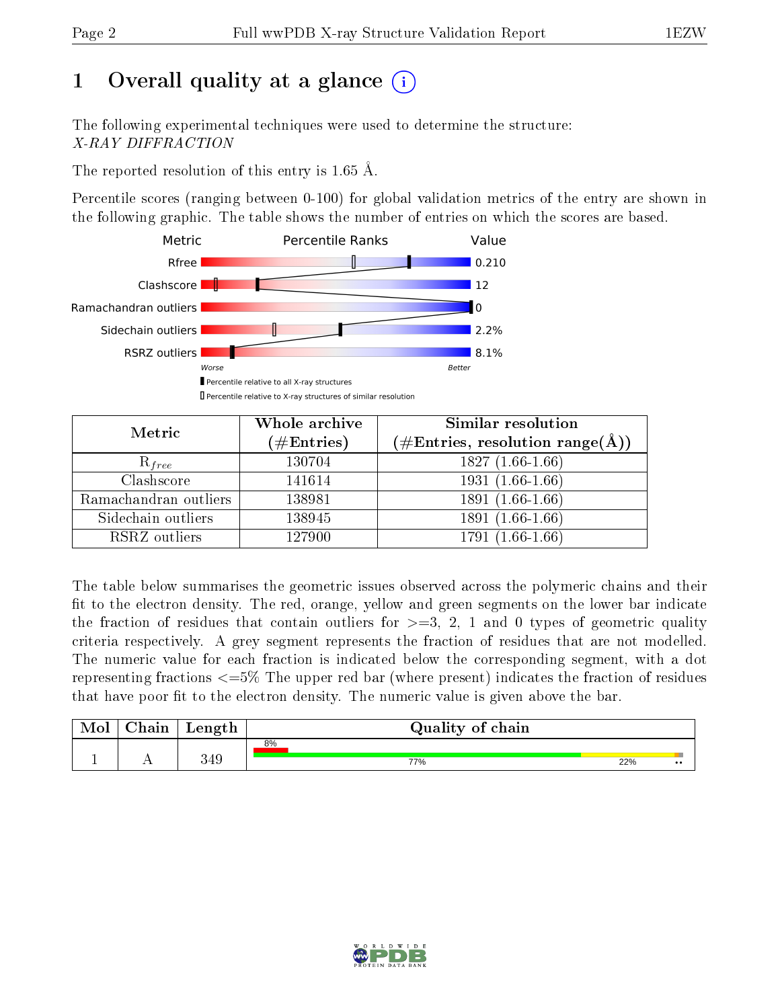# 1 [O](https://www.wwpdb.org/validation/2017/XrayValidationReportHelp#overall_quality)verall quality at a glance  $(i)$

The following experimental techniques were used to determine the structure: X-RAY DIFFRACTION

The reported resolution of this entry is 1.65 Å.

Percentile scores (ranging between 0-100) for global validation metrics of the entry are shown in the following graphic. The table shows the number of entries on which the scores are based.



| Metric                | Whole archive<br>$(\#\mathrm{Entries})$ | Similar resolution<br>$(\#\text{Entries},\,\text{resolution}\,\,\text{range}(\textup{\AA}))$ |
|-----------------------|-----------------------------------------|----------------------------------------------------------------------------------------------|
| $R_{free}$            | 130704                                  | $1827(1.66-1.66)$                                                                            |
| Clashscore            | 141614                                  | $1931(1.66-1.66)$                                                                            |
| Ramachandran outliers | 138981                                  | $1891(1.66-1.66)$                                                                            |
| Sidechain outliers    | 138945                                  | 1891 (1.66-1.66)                                                                             |
| RSRZ outliers         | 127900                                  | 1791 (1.66-1.66)                                                                             |

The table below summarises the geometric issues observed across the polymeric chains and their fit to the electron density. The red, orange, yellow and green segments on the lower bar indicate the fraction of residues that contain outliers for  $>=3, 2, 1$  and 0 types of geometric quality criteria respectively. A grey segment represents the fraction of residues that are not modelled. The numeric value for each fraction is indicated below the corresponding segment, with a dot representing fractions  $\epsilon=5\%$  The upper red bar (where present) indicates the fraction of residues that have poor fit to the electron density. The numeric value is given above the bar.

| Mol | $\cap$ hain | Length | Quality of chain |     |                  |
|-----|-------------|--------|------------------|-----|------------------|
|     |             |        | 8%               |     |                  |
|     |             | 349    | 77%              | 22% | $\bullet\bullet$ |

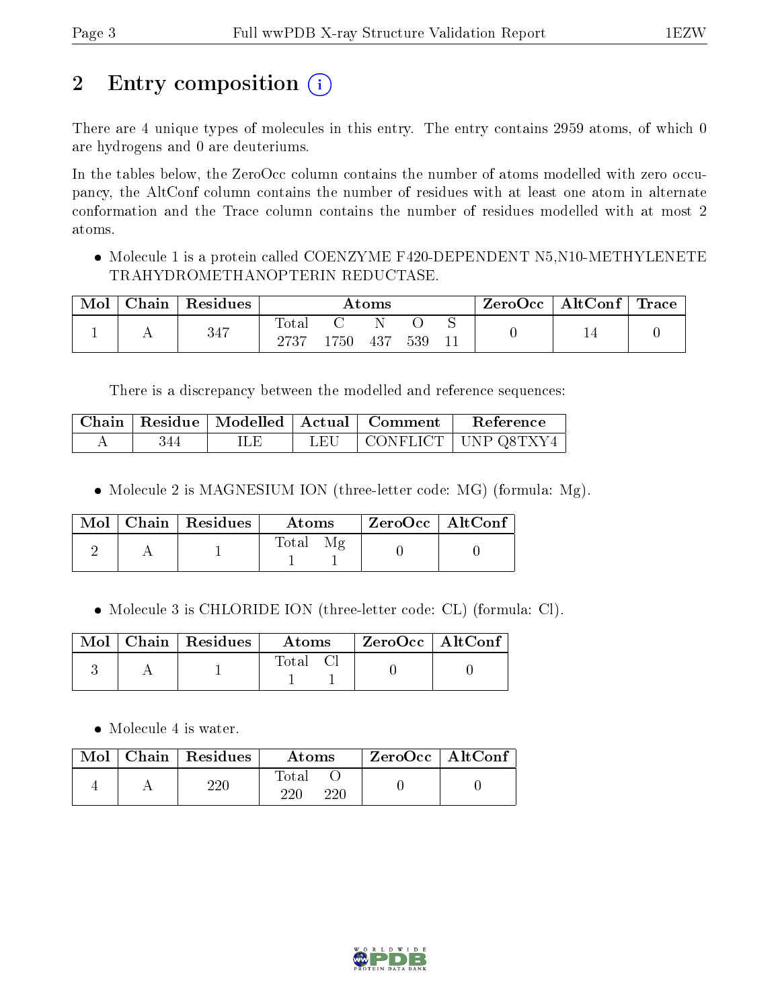# 2 Entry composition (i)

There are 4 unique types of molecules in this entry. The entry contains 2959 atoms, of which 0 are hydrogens and 0 are deuteriums.

In the tables below, the ZeroOcc column contains the number of atoms modelled with zero occupancy, the AltConf column contains the number of residues with at least one atom in alternate conformation and the Trace column contains the number of residues modelled with at most 2 atoms.

• Molecule 1 is a protein called COENZYME F420-DEPENDENT N5, N10-METHYLENETE TRAHYDROMETHANOPTERIN REDUCTASE.

| Mol | Chain Residues | $\rm{Atoms}$              |          |      |     | ZeroOcc | $\mid$ AltConf $\mid$ Trace |  |  |
|-----|----------------|---------------------------|----------|------|-----|---------|-----------------------------|--|--|
|     | 347            | $\mathrm{Tota}_1$<br>2737 | $1750\,$ | -437 | 539 |         |                             |  |  |

There is a discrepancy between the modelled and reference sequences:

|     |     |     | Chain   Residue   Modelled   Actual   Comment | Reference                           |
|-----|-----|-----|-----------------------------------------------|-------------------------------------|
| 344 | ILЕ | LEU |                                               | $\vert$ CONFLICT $\vert$ UNP Q8TXY4 |

• Molecule 2 is MAGNESIUM ION (three-letter code: MG) (formula: Mg).

|  | $\text{Mol}$   Chain   Residues | Atoms | $ZeroOcc \   \ AltConf$ |  |
|--|---------------------------------|-------|-------------------------|--|
|  |                                 | Total |                         |  |

Molecule 3 is CHLORIDE ION (three-letter code: CL) (formula: Cl).

|  | $\text{Mol}$   Chain   Residues | <b>Atoms</b> | $\rm{ZeroOcc} \mid \rm{AltConf} \mid$ |
|--|---------------------------------|--------------|---------------------------------------|
|  |                                 | Total        |                                       |

• Molecule 4 is water.

| $\text{Mol}$ | $\mid$ Chain $\mid$ Residues | Atoms        | $ZeroOcc \mid AltConf$ |  |
|--------------|------------------------------|--------------|------------------------|--|
|              | ววเ                          | Total<br>220 |                        |  |

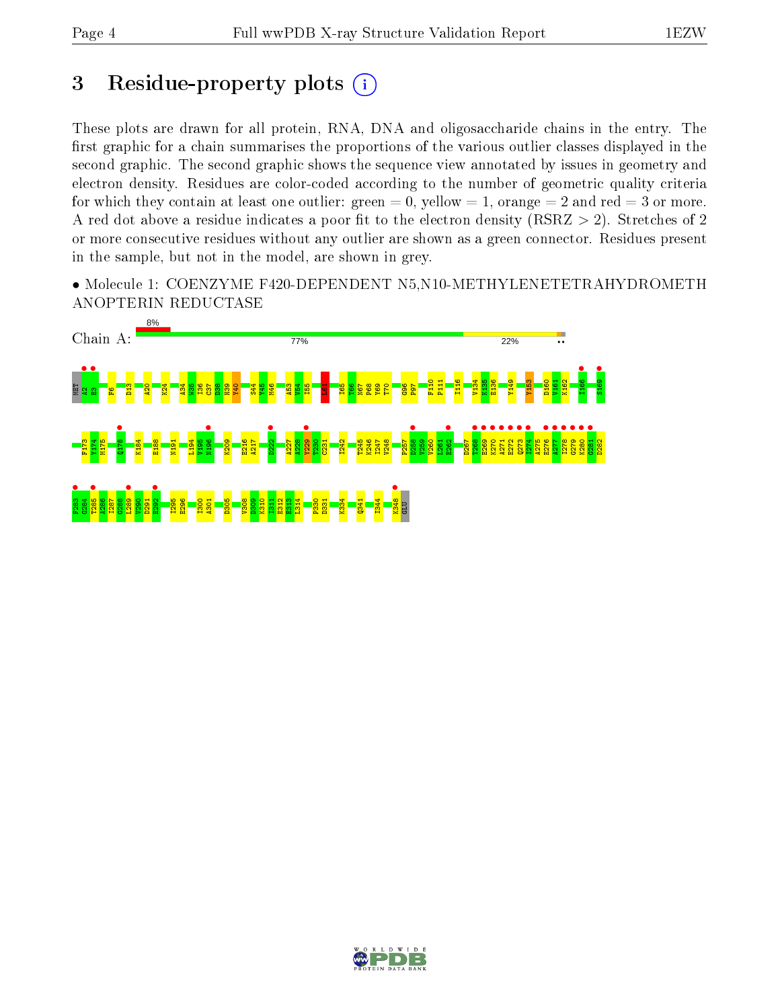## 3 Residue-property plots  $(i)$

These plots are drawn for all protein, RNA, DNA and oligosaccharide chains in the entry. The first graphic for a chain summarises the proportions of the various outlier classes displayed in the second graphic. The second graphic shows the sequence view annotated by issues in geometry and electron density. Residues are color-coded according to the number of geometric quality criteria for which they contain at least one outlier: green  $= 0$ , yellow  $= 1$ , orange  $= 2$  and red  $= 3$  or more. A red dot above a residue indicates a poor fit to the electron density ( $RSRZ > 2$ ). Stretches of 2 or more consecutive residues without any outlier are shown as a green connector. Residues present in the sample, but not in the model, are shown in grey.

• Molecule 1: COENZYME F420-DEPENDENT N5,N10-METHYLENETETRAHYDROMETH ANOPTERIN REDUCTASE



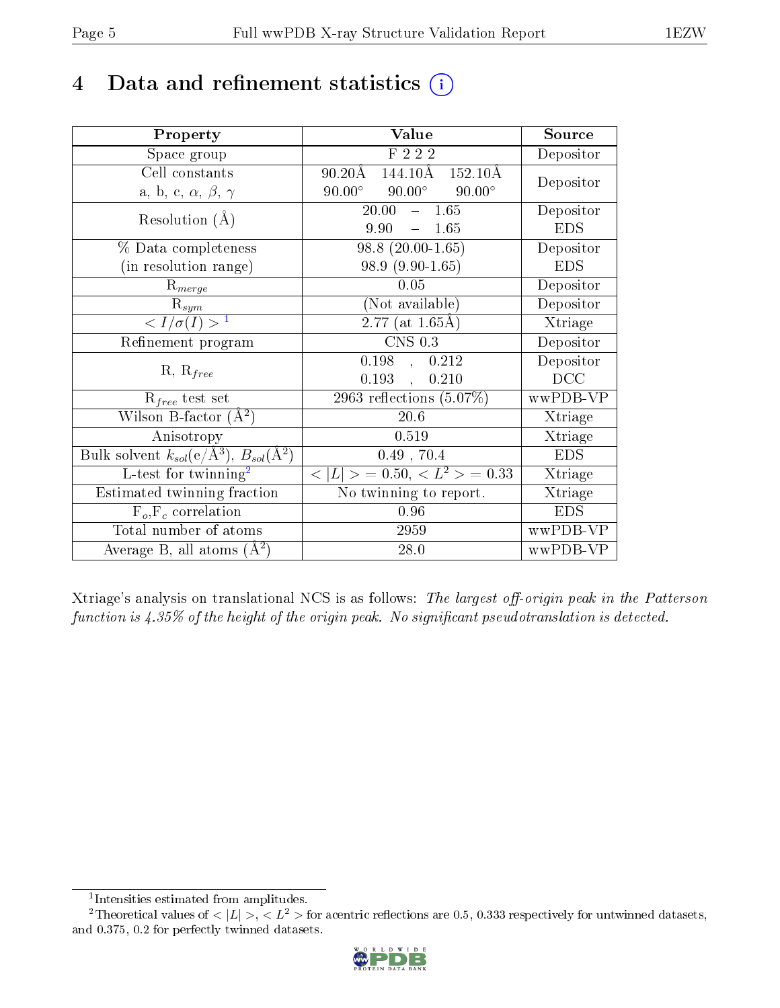## 4 Data and refinement statistics  $(i)$

| Property                                                                | Value                                              | Source     |
|-------------------------------------------------------------------------|----------------------------------------------------|------------|
| Space group                                                             | F 2 2 2                                            | Depositor  |
| Cell constants                                                          | 144.10Å<br>$90.20\text{\AA}$<br>$152.10\text{\AA}$ | Depositor  |
| a, b, c, $\alpha$ , $\beta$ , $\gamma$                                  | $90.00^\circ$<br>$90.00^\circ$<br>$90.00^\circ$    |            |
| Resolution $(A)$                                                        | 20.00<br>$-1.65$                                   | Depositor  |
|                                                                         | 9.90<br>1.65<br>$\frac{1}{2}$                      | <b>EDS</b> |
| % Data completeness                                                     | $98.8(20.00-1.65)$                                 | Depositor  |
| (in resolution range)                                                   | 98.9 (9.90-1.65)                                   | <b>EDS</b> |
| $R_{merge}$                                                             | 0.05                                               | Depositor  |
| $\mathbf{R}_{sym}$                                                      | (Not available)                                    | Depositor  |
| $\langle I/\sigma(I) \rangle^{-1}$                                      | $2.77$ (at 1.65Å)                                  | Xtriage    |
| Refinement program                                                      | $CNS$ 0.3                                          | Depositor  |
|                                                                         | $0.198$ , $0.212$                                  | Depositor  |
| $R, R_{free}$                                                           | 0.193,<br>0.210                                    | DCC        |
| $R_{free}$ test set                                                     | 2963 reflections $(5.07\%)$                        | wwPDB-VP   |
| Wilson B-factor $(A^2)$                                                 | $20.6\,$                                           | Xtriage    |
| Anisotropy                                                              | 0.519                                              | Xtriage    |
| Bulk solvent $k_{sol}(\mathrm{e}/\mathrm{A}^3),\,B_{sol}(\mathrm{A}^2)$ | $0.49$ , 70.4                                      | <b>EDS</b> |
| L-test for $\mathrm{twinning}^2$                                        | $< L >$ = 0.50, $< L^2 >$ = 0.33                   | Xtriage    |
| Estimated twinning fraction                                             | No twinning to report.                             | Xtriage    |
| $F_o, F_c$ correlation                                                  | $0.96\,$                                           | <b>EDS</b> |
| Total number of atoms                                                   | 2959                                               | wwPDB-VP   |
| Average B, all atoms $(A^2)$                                            | 28.0                                               | wwPDB-VP   |

Xtriage's analysis on translational NCS is as follows: The largest off-origin peak in the Patterson function is  $4.35\%$  of the height of the origin peak. No significant pseudotranslation is detected.

<sup>&</sup>lt;sup>2</sup>Theoretical values of  $\langle |L| \rangle$ ,  $\langle L^2 \rangle$  for acentric reflections are 0.5, 0.333 respectively for untwinned datasets, and 0.375, 0.2 for perfectly twinned datasets.



<span id="page-4-1"></span><span id="page-4-0"></span><sup>1</sup> Intensities estimated from amplitudes.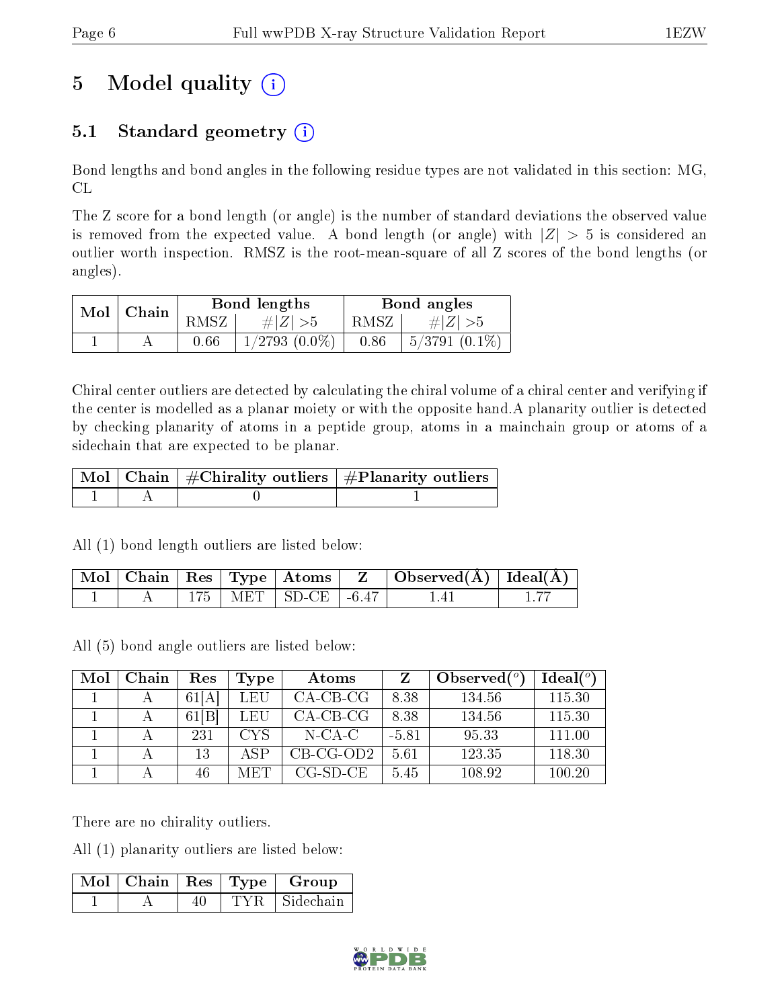# 5 Model quality  $(i)$

### 5.1 Standard geometry  $(i)$

Bond lengths and bond angles in the following residue types are not validated in this section: MG, CL

The Z score for a bond length (or angle) is the number of standard deviations the observed value is removed from the expected value. A bond length (or angle) with  $|Z| > 5$  is considered an outlier worth inspection. RMSZ is the root-mean-square of all Z scores of the bond lengths (or angles).

| $Mol$   Chain |      | Bond lengths       | Bond angles |                 |  |
|---------------|------|--------------------|-------------|-----------------|--|
|               | RMSZ | # $ Z  > 5$        | RMSZ        | $\# Z  > 5$     |  |
|               | 0.66 | $1/2793$ $(0.0\%)$ | 0.86        | $5/3791(0.1\%)$ |  |

Chiral center outliers are detected by calculating the chiral volume of a chiral center and verifying if the center is modelled as a planar moiety or with the opposite hand.A planarity outlier is detected by checking planarity of atoms in a peptide group, atoms in a mainchain group or atoms of a sidechain that are expected to be planar.

|  | $\mid$ Mol $\mid$ Chain $\mid$ #Chirality outliers $\mid$ #Planarity outliers $\mid$ |
|--|--------------------------------------------------------------------------------------|
|  |                                                                                      |

All (1) bond length outliers are listed below:

|  |  | $\mid$ Mol $\mid$ Chain $\mid$ Res $\mid$ Type $\mid$ Atoms $\mid$ | $\overline{L}$ | $\Box$ Observed( $\AA$ ) $\Box$ Ideal( $\AA$ ) |  |
|--|--|--------------------------------------------------------------------|----------------|------------------------------------------------|--|
|  |  | MET   SD-CE   -6.47                                                |                |                                                |  |

All (5) bond angle outliers are listed below:

| Mol | Chain | Res                   | Type   | Atoms       |         | Observed $(°)$ | Ideal(°) |
|-----|-------|-----------------------|--------|-------------|---------|----------------|----------|
|     |       | 61 A                  | LEU    | $CA-CB-CG$  | 8.38    | 134.56         | 115.30   |
|     |       | $\vert B \vert$<br>61 | LEU    | $CA-CB-CG$  | 8.38    | 134.56         | 115.30   |
|     |       | 231                   | CYS    | $N$ -CA-C   | $-5.81$ | 95.33          | 111.00   |
|     |       | 13                    | ASP    | $CB-CG-OD2$ | 5.61    | 123.35         | 118.30   |
|     |       | 46                    | M ET L | $CG-SD-CE$  | 5.45    | 108.92         | 100.20   |

There are no chirality outliers.

All (1) planarity outliers are listed below:

| $\lceil\,\mathrm{Mol}\, \rceil$ Chain $\mid\mathrm{Res}\mid\mathrm{Type}\mid\cdot\rceil$ |      | Group     |
|------------------------------------------------------------------------------------------|------|-----------|
|                                                                                          | TYR. | Sidechain |

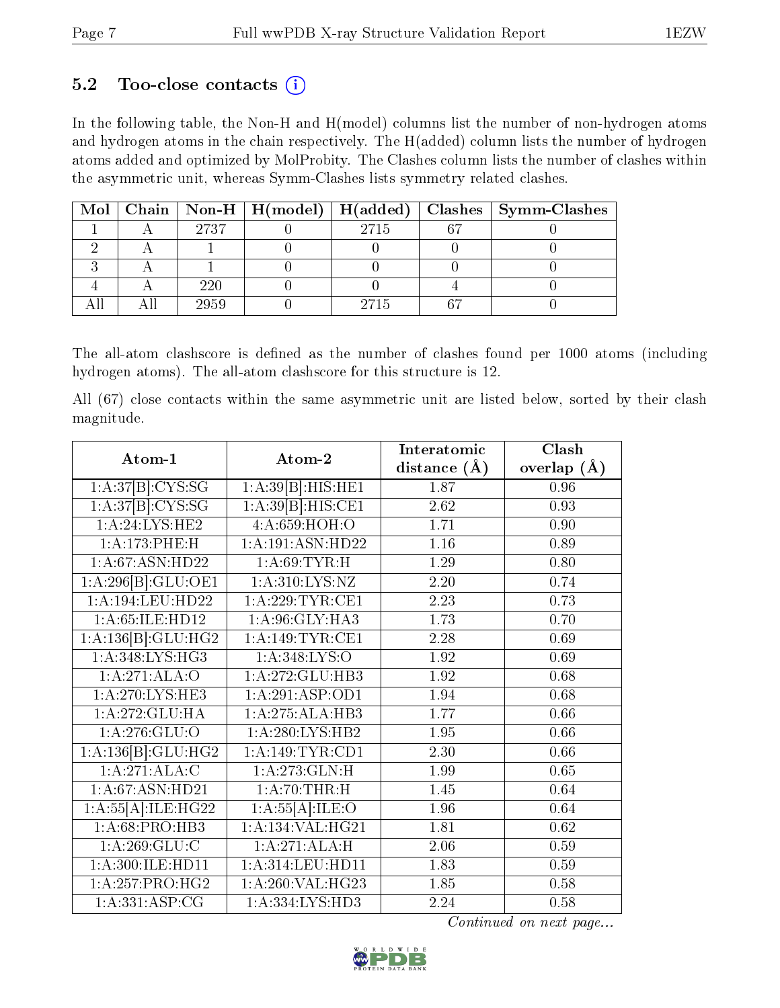### 5.2 Too-close contacts  $(i)$

In the following table, the Non-H and H(model) columns list the number of non-hydrogen atoms and hydrogen atoms in the chain respectively. The H(added) column lists the number of hydrogen atoms added and optimized by MolProbity. The Clashes column lists the number of clashes within the asymmetric unit, whereas Symm-Clashes lists symmetry related clashes.

|  |      |      | Mol   Chain   Non-H   H(model)   H(added)   Clashes   Symm-Clashes |
|--|------|------|--------------------------------------------------------------------|
|  | 2737 | 2715 |                                                                    |
|  |      |      |                                                                    |
|  |      |      |                                                                    |
|  | 220  |      |                                                                    |
|  | 2959 | 2715 |                                                                    |

The all-atom clashscore is defined as the number of clashes found per 1000 atoms (including hydrogen atoms). The all-atom clashscore for this structure is 12.

All (67) close contacts within the same asymmetric unit are listed below, sorted by their clash magnitude.

| Atom-1             | Atom-2                        | Interatomic    | Clash           |
|--------------------|-------------------------------|----------------|-----------------|
|                    |                               | distance $(A)$ | overlap $(\AA)$ |
| 1:A:37[B]:CYS:SG   | 1:A:39[B]:HIS:HE1             | 1.87           | 0.96            |
| 1:A:37[B]:CYS:SG   | 1:A:39[B]:HIS:CE1             | 2.62           | 0.93            |
| 1:A:24:LYS:HE2     | 4:A:659:HOH:O                 | 1.71           | 0.90            |
| 1:A:173:PHE:H      | 1:A:191:ASN:HD22              | 1.16           | 0.89            |
| 1:A:67:ASN:HD22    | 1: A:69:TYR:H                 | 1.29           | 0.80            |
| 1:A:296[B]:GLU:OE1 | 1:A:310:LYS:NZ                | 2.20           | 0.74            |
| 1:A:194:LEU:HD22   | 1: A:229:TYR:CE1              | 2.23           | 0.73            |
| 1:A:65:ILE:HD12    | 1: A:96: GLY: HA3             | 1.73           | 0.70            |
| 1:A:136[B]:GLU:HG2 | 1:A:149:TYR:CE1               | 2.28           | 0.69            |
| 1: A:348:LYS:HG3   | 1:A:348:LYS:O                 | 1.92           | 0.69            |
| 1:A:271:ALA:O      | 1: A:272: GLU:HB3             | 1.92           | 0.68            |
| 1:A:270:LYS:HE3    | 1:A:291:ASP:OD1               | 1.94           | 0.68            |
| 1:A:272:GLU:HA     | 1:A:275:ALA:HB3               | 1.77           | 0.66            |
| 1: A:276: GLU:O    | 1:A:280:LYS:HB2               | 1.95           | 0.66            |
| 1:A:136[B]:GLU:HG2 | 1: A:149:TYR:CD1              | 2.30           | 0.66            |
| 1:A:271:ALA:C      | 1:A:273:GLN:H                 | 1.99           | 0.65            |
| 1:A:67:ASN:HD21    | 1: A:70:THR:H                 | 1.45           | 0.64            |
| 1:A:55[A]:ILE:HG22 | 1:A:55[A]:ILE:O               | 1.96           | 0.64            |
| 1:A:68:PRO:HB3     | 1:A:134:VAL:HG21              | 1.81           | 0.62            |
| 1: A:269: GLU:C    | 1:A:271:ALA:H                 | 2.06           | 0.59            |
| 1:A:300:ILE:HD11   | 1:A:314:LEU:HD11              | 1.83           | 0.59            |
| 1:A:257:PRO:HG2    | $1:A:260:\overline{VAL:HG23}$ | 1.85           | 0.58            |
| 1:A:331:ASP:CG     | 1: A: 334: LYS: HD3           | 2.24           | 0.58            |

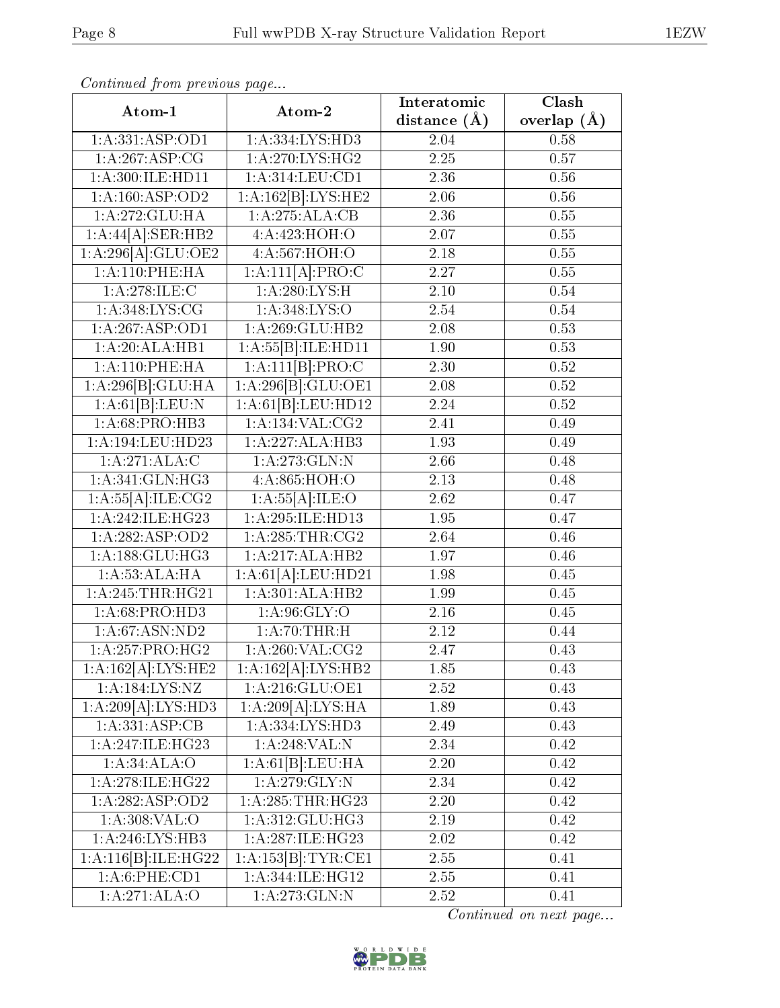| Atom-1                            | Atom-2              | Interatomic       | $\overline{\text{Clash}}$ |
|-----------------------------------|---------------------|-------------------|---------------------------|
|                                   |                     | distance $(\AA)$  | overlap $(A)$             |
| 1:A:331:ASP:OD1                   | 1:A:334:LYS:HD3     | 2.04              | 0.58                      |
| 1:A:267:ASP:CG                    | 1: A:270: LYS: HG2  | $\overline{2.25}$ | 0.57                      |
| 1:A:300:ILE:HD11                  | 1: A:314:LEU:CD1    | 2.36              | 0.56                      |
| 1:A:160:ASP:OD2                   | 1:A:162[B]:LYS:HE2  | 2.06              | 0.56                      |
| 1:A:272:GLU:HA                    | 1:A:275:ALA:CB      | 2.36              | 0.55                      |
| 1:A:44[A]:SER:HB2                 | 4:A:423:HOH:O       | 2.07              | $0.55\,$                  |
| 1:A:296[A]:GLU:OE2                | 4:A:567:HOH:O       | 2.18              | $0.55\,$                  |
| 1:A:110:PHE:HA                    | 1:A:111[A]:PRO:C    | 2.27              | 0.55                      |
| 1:A:278:ILE:C                     | 1: A:280:LYS:H      | 2.10              | 0.54                      |
| 1: A:348: LYS: CG                 | 1:A:348:LYS:O       | 2.54              | 0.54                      |
| 1:A:267:ASP:OD1                   | 1: A:269: GLU:HB2   | 2.08              | 0.53                      |
| 1:A:20:ALA:HB1                    | 1:A:55[B]:ILE:HDI1  | 1.90              | 0.53                      |
| 1: A:110: PHE: HA                 | 1:A:111[B]:PRO:C    | 2.30              | 0.52                      |
| 1:A:296[B]:GLU:HA                 | 1:A:296[B]:GLU:OE1  | 2.08              | 0.52                      |
| 1:A:61[B]:LEU:N                   | 1:A:61[B]:LEU:HD12  | 2.24              | 0.52                      |
| 1:A:68:PRO:HB3                    | 1: A: 134: VAL: CG2 | 2.41              | 0.49                      |
| 1:A:194:LEU:HD23                  | 1:A:227:ALA:HB3     | 1.93              | 0.49                      |
| 1:A:271:ALA:C                     | 1: A:273: GLN:N     | 2.66              | 0.48                      |
| 1:A:341:GLN:HG3                   | 4:A:865:HOH:O       | $\overline{2.13}$ | 0.48                      |
| 1:A:55[A]:ILE:CG2                 | 1:A:55[A]:ILE:O     | 2.62              | 0.47                      |
| $1:\overline{A:242:\!1LE:\!HG23}$ | 1: A:295: ILE: HD13 | $\overline{1.95}$ | $\overline{0.47}$         |
| 1:A:282:ASP:OD2                   | 1: A:285:THR:CG2    | 2.64              | 0.46                      |
| 1:A:188:GLU:HG3                   | 1:A:217:ALA:HB2     | 1.97              | 0.46                      |
| 1:A:53:ALA:HA                     | 1:A:61[A].LEU:HD21  | 1.98              | 0.45                      |
| 1:A:245:THR:HG21                  | 1:A:301:ALA:HB2     | 1.99              | 0.45                      |
| 1:A:68:PRO:HD3                    | 1: A:96: GLY:O      | $2.16\,$          | 0.45                      |
| 1: A:67: ASN:ND2                  | 1:A:70:THR:H        | 2.12              | 0.44                      |
| 1: A:257:PRO:HG2                  | 1: A:260: VAL: CG2  | 2.47              | 0.43                      |
| 1:A:162[A]:LYS:HE2                | 1:A:162[A]:LYS:HB2  | 1.85              | 0.43                      |
| 1:A:184:LYS:NZ                    | 1:A:216:GLU:OE1     | 2.52              | 0.43                      |
| 1:A:209[A]:LYS:HD3                | 1:A:209[A]:LYS:HA   | 1.89              | 0.43                      |
| 1:A:331:ASP:CB                    | 1: A: 334: LYS: HD3 | 2.49              | 0.43                      |
| 1: A:247: ILE: HG23               | 1:A:248:VAL:N       | 2.34              | 0.42                      |
| 1:A:34:ALA:O                      | 1:A:61[B]:LEU:HA    | 2.20              | 0.42                      |
| 1: A:278: ILE:HG22                | 1:A:279:GLY:N       | 2.34              | 0.42                      |
| 1: A:282: ASP:OD2                 | 1: A:285:THR:HG23   | $2.20\,$          | 0.42                      |
| 1: A:308: VAL:O                   | 1: A:312: GLU: HG3  | 2.19              | 0.42                      |
| 1:A:246:LYS:HB3                   | 1: A:287: ILE: HG23 | $2.02\,$          | 0.42                      |
| 1:A:116[B]:ILE:HG22               | 1:A:153[B]:TYR:CE1  | 2.55              | 0.41                      |
| 1: A:6: PHE:CD1                   | 1: A:344: ILE: HG12 | 2.55              | 0.41                      |
| 1:A:271:ALA:O                     | 1: A:273: GLN:N     | 2.52              | 0.41                      |

Continued from previous page...

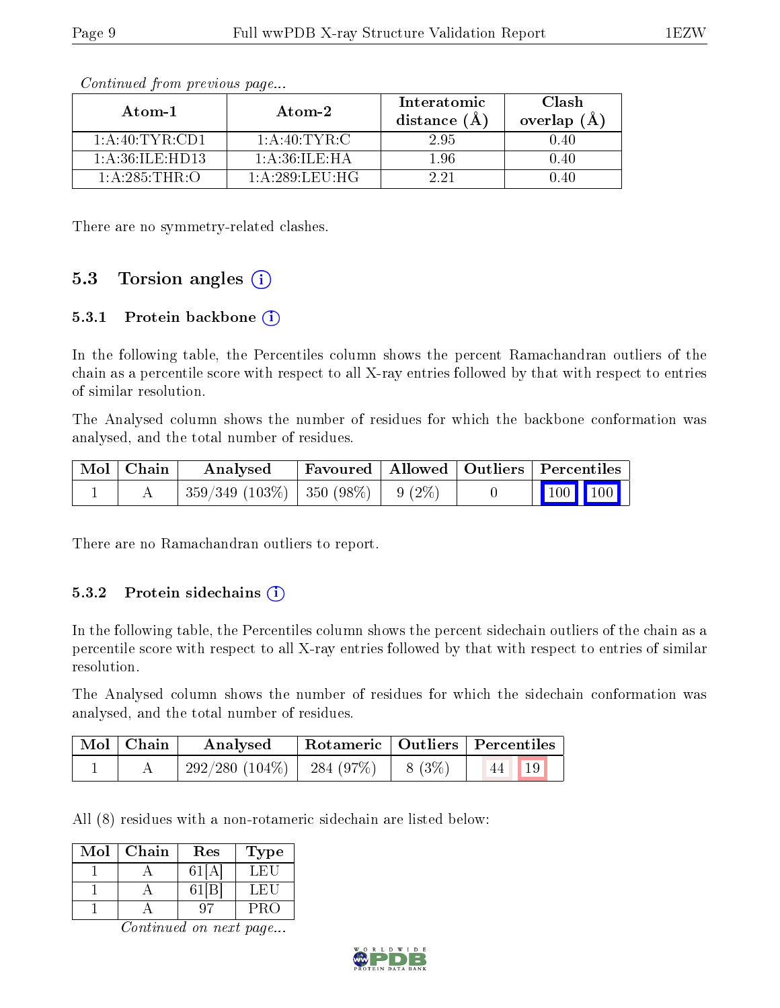| Atom-1                    | $\boldsymbol{\mathrm{Atom}\text{-}2}$ | Interatomic<br>distance $(\AA)$ | Clash<br>overlap $(A)$ |
|---------------------------|---------------------------------------|---------------------------------|------------------------|
| 1: A:40: TYR:CD1          | 1:A:40:TYR:C                          | 2.95                            | 0.40                   |
| $1:$ A $:36:$ IL E: HD13. | 1: A:36: ILE:HA                       | 1.96                            | 0.40                   |
| 1: A:285:THR:O            | 1: A:289:LEU:HG                       | 2 21                            | () 40                  |

Continued from previous page...

There are no symmetry-related clashes.

#### 5.3 Torsion angles  $(i)$

#### 5.3.1 Protein backbone (i)

In the following table, the Percentiles column shows the percent Ramachandran outliers of the chain as a percentile score with respect to all X-ray entries followed by that with respect to entries of similar resolution.

The Analysed column shows the number of residues for which the backbone conformation was analysed, and the total number of residues.

| Mol   Chain | Analysed                                 | Favoured   Allowed   Outliers   Percentiles |  |                 |  |
|-------------|------------------------------------------|---------------------------------------------|--|-----------------|--|
|             | $359/349$ (103\%)   350 (98\%)   9 (2\%) |                                             |  | $\vert$ 100 100 |  |

There are no Ramachandran outliers to report.

#### 5.3.2 Protein sidechains  $(i)$

In the following table, the Percentiles column shows the percent sidechain outliers of the chain as a percentile score with respect to all X-ray entries followed by that with respect to entries of similar resolution.

The Analysed column shows the number of residues for which the sidechain conformation was analysed, and the total number of residues.

| $Mol$   Chain | Analysed                       |          | Rotameric   Outliers   Percentiles |
|---------------|--------------------------------|----------|------------------------------------|
|               | $292/280$ (104\%)   284 (97\%) | $8(3\%)$ | 19                                 |

All (8) residues with a non-rotameric sidechain are listed below:

| Mol | Chain | Res   | Type   |
|-----|-------|-------|--------|
|     |       | 61    | L HIL  |
|     |       | 61[B] | L FI 1 |
|     |       |       | PRO    |

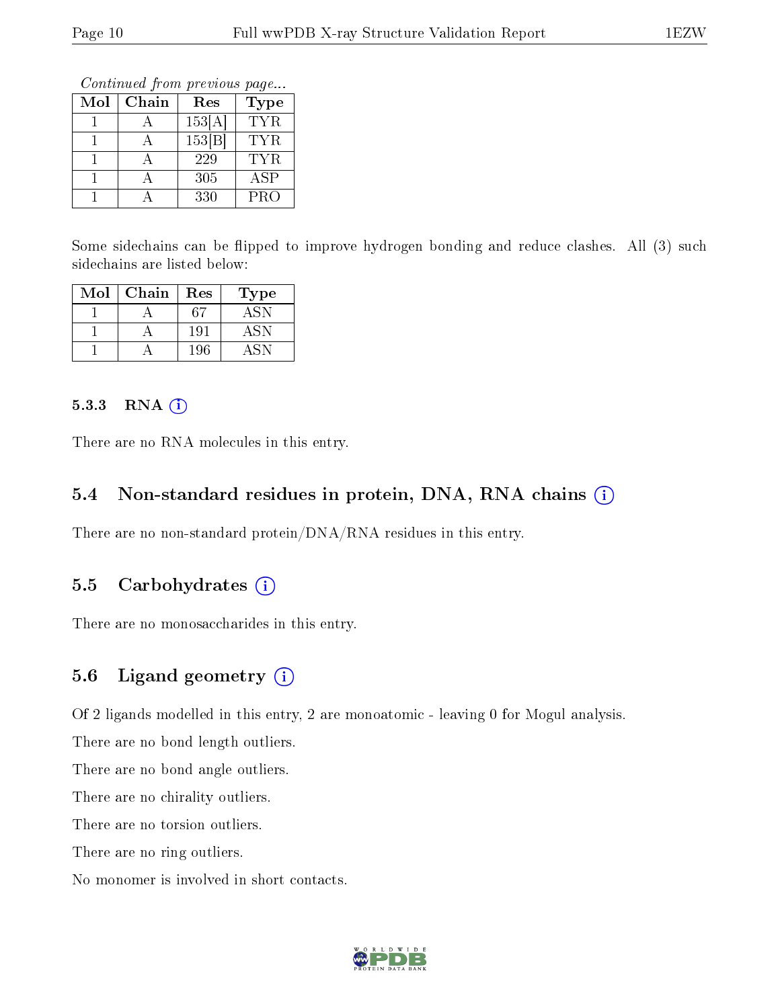Continued from previous page...

| Mol | Chain | Res    | Type       |
|-----|-------|--------|------------|
|     |       | 153[A] | TYR.       |
|     |       | 153 B  | <b>TYR</b> |
|     |       | 229    | TYR.       |
|     |       | 305    | ASP        |
|     |       | 330    | <b>PRO</b> |

Some sidechains can be flipped to improve hydrogen bonding and reduce clashes. All (3) such sidechains are listed below:

| Mol | Chain | Res | Type |
|-----|-------|-----|------|
|     |       | 67  | ASN  |
|     |       | 191 |      |
|     |       | 196 |      |

#### 5.3.3 RNA (i)

There are no RNA molecules in this entry.

### 5.4 Non-standard residues in protein, DNA, RNA chains (i)

There are no non-standard protein/DNA/RNA residues in this entry.

#### 5.5 Carbohydrates  $(i)$

There are no monosaccharides in this entry.

#### 5.6 Ligand geometry (i)

Of 2 ligands modelled in this entry, 2 are monoatomic - leaving 0 for Mogul analysis.

There are no bond length outliers.

There are no bond angle outliers.

There are no chirality outliers.

There are no torsion outliers.

There are no ring outliers.

No monomer is involved in short contacts.

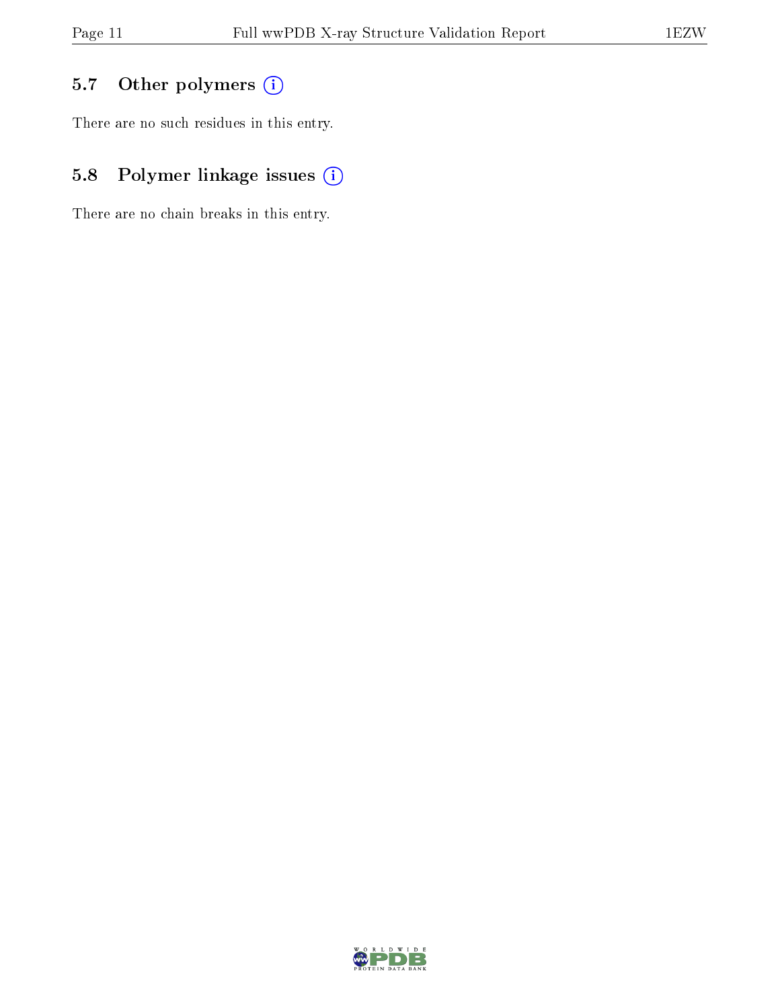### 5.7 [O](https://www.wwpdb.org/validation/2017/XrayValidationReportHelp#nonstandard_residues_and_ligands)ther polymers (i)

There are no such residues in this entry.

### 5.8 Polymer linkage issues (i)

There are no chain breaks in this entry.

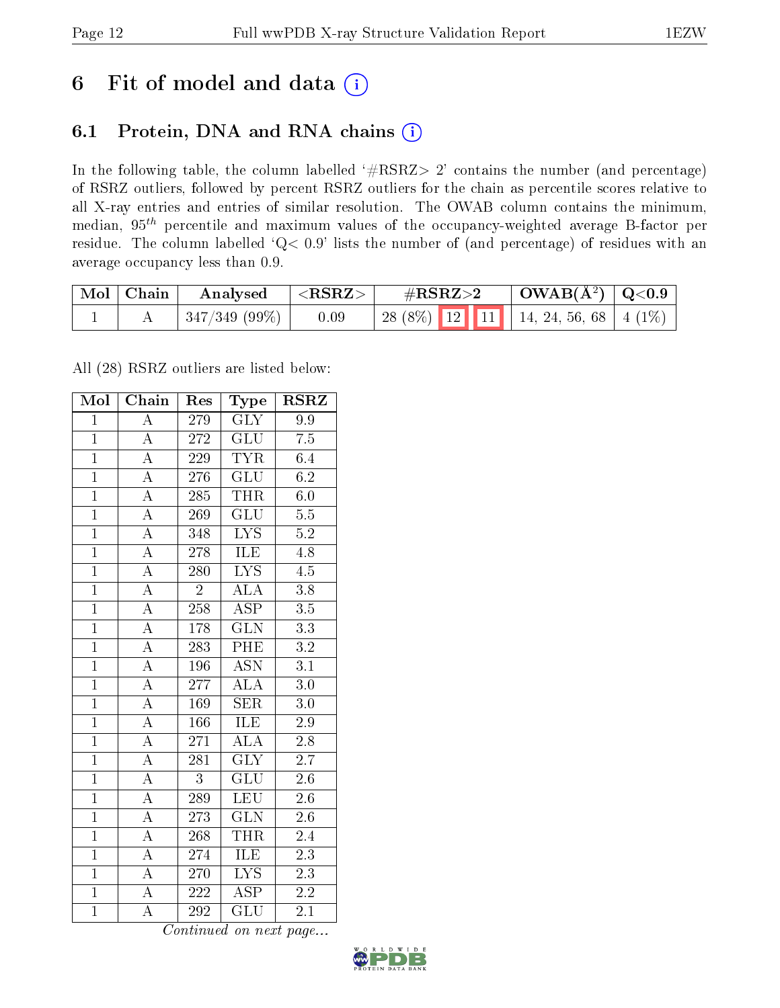## 6 Fit of model and data  $(i)$

### 6.1 Protein, DNA and RNA chains  $(i)$

In the following table, the column labelled  $#RSRZ> 2'$  contains the number (and percentage) of RSRZ outliers, followed by percent RSRZ outliers for the chain as percentile scores relative to all X-ray entries and entries of similar resolution. The OWAB column contains the minimum, median,  $95<sup>th</sup>$  percentile and maximum values of the occupancy-weighted average B-factor per residue. The column labelled ' $Q< 0.9$ ' lists the number of (and percentage) of residues with an average occupancy less than 0.9.

| $\mid$ Mol $\mid$ Chain | Analysed          | $  <$ RSRZ $>$ | $\rm \#RSRZ{>}2$                            | $\mid$ OWAB( $A^2$ ) $\mid$ Q<0.9 |  |
|-------------------------|-------------------|----------------|---------------------------------------------|-----------------------------------|--|
|                         | $ 347/349(99\%) $ | 0.09           | 28 (8%)   12   11   14, 24, 56, 68   4 (1%) |                                   |  |

All (28) RSRZ outliers are listed below:

| Mol            | Chain<br>Res       |                  | Type                      | <b>RSRZ</b>      |  |
|----------------|--------------------|------------------|---------------------------|------------------|--|
| $\mathbf{1}$   | $\overline{\rm A}$ | 279              | <b>GLY</b>                | 9.9              |  |
| $\mathbf{1}$   | $\overline{\rm A}$ | 272              | GLU                       | 7.5              |  |
| $\overline{1}$ | $\overline{A}$     | 229              | $\overline{\text{TYR}}$   | 6.4              |  |
| $\overline{1}$ | $\overline{\rm A}$ | 276              | <b>GLU</b>                | 6.2              |  |
| $\overline{1}$ | $\overline{A}$     | 285              | <b>THR</b>                | $\overline{6.0}$ |  |
| $\overline{1}$ | $\overline{\rm A}$ | 269              | $\overline{{\rm GLU}}$    | $\overline{5.5}$ |  |
| $\overline{1}$ | $\overline{\rm A}$ | 348              | $\overline{\text{LYS}}$   | $\overline{5.2}$ |  |
| $\overline{1}$ | $\overline{\rm A}$ | 278              | ILE                       | $4.\overline{8}$ |  |
| $\overline{1}$ | $\overline{\rm A}$ | 280              | <b>LYS</b>                | $\overline{4.5}$ |  |
| $\overline{1}$ | $\overline{A}$     | $\overline{2}$   | <b>ALA</b>                | $3.8\,$          |  |
| $\mathbf{1}$   | $\overline{\rm A}$ | 258              | $\overline{\text{ASP}}$   | $\overline{3.5}$ |  |
| $\overline{1}$ | $\overline{A}$     | $1\,78$          | $\overline{\text{GLN}}$   | $\overline{3.3}$ |  |
| $\overline{1}$ | $\overline{\rm A}$ | 283              | PHE                       | $3.2\,$          |  |
| $\overline{1}$ | $\overline{\rm A}$ | 196              | $\overline{\mathrm{ASN}}$ | $\overline{3.1}$ |  |
| $\overline{1}$ | $\overline{\rm A}$ | 277              | $\overline{\rm ALA}$      | $\overline{3.0}$ |  |
| $\overline{1}$ | $\overline{\rm A}$ | 169              | <b>SER</b>                | $3.0\,$          |  |
| $\overline{1}$ | $\overline{\rm A}$ | 166              | <b>ILE</b>                | $\overline{2.9}$ |  |
| $\overline{1}$ | $\overline{\rm A}$ | 271              | $\rm AL\overline{A}$      | $2.8\,$          |  |
| $\mathbf{1}$   | $\overline{\rm A}$ | 281              | <b>GLY</b>                | 2.7              |  |
| $\overline{1}$ | $\overline{\rm A}$ | $\overline{3}$   | GLU                       | $2.6\,$          |  |
| $\overline{1}$ | $\overline{\rm A}$ | 289              | <b>LEU</b>                | 2.6              |  |
| $\overline{1}$ | $\overline{\rm A}$ | 273              | $\overline{\text{GLN}}$   | $\overline{2.6}$ |  |
| $\mathbf{1}$   | А                  | 268              | <b>THR</b>                | 2.4              |  |
| $\overline{1}$ | $\overline{\rm A}$ | 274              | <b>ILE</b>                | $2\overline{.3}$ |  |
| $\overline{1}$ | $\overline{\rm A}$ | 270              | $\overline{\text{LYS}}$   | $\overline{2.3}$ |  |
| $\overline{1}$ | A                  | 222              | <b>ASP</b>                | 2.2              |  |
| $\overline{1}$ | $\overline{\rm A}$ | $\overline{292}$ | $\overline{\text{GLU}}$   | $\overline{2.1}$ |  |